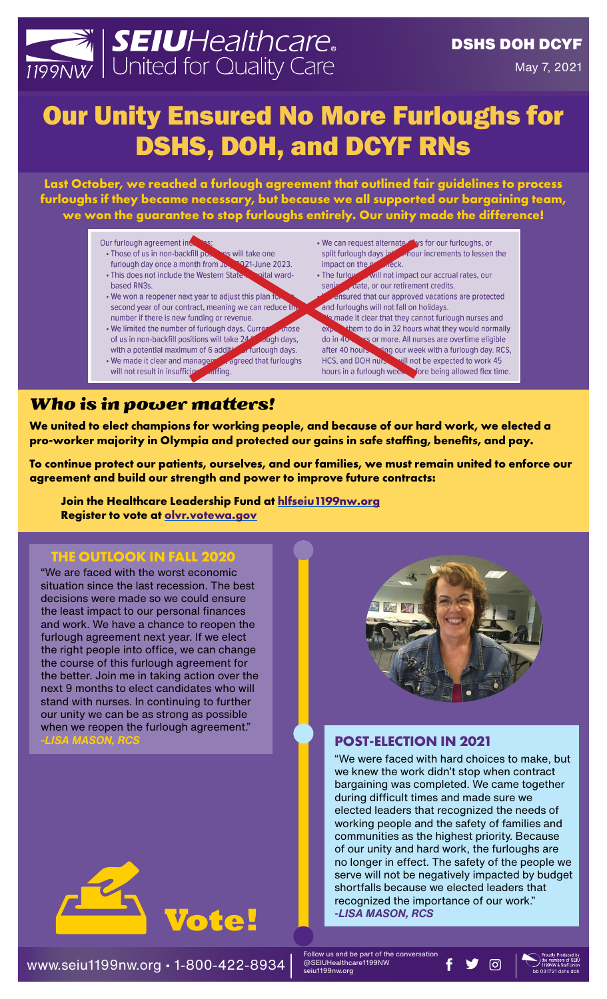# SEIUHealthcare.

## Our Unity Ensured No More Furloughs for DSHS, DOH, and DCYF RNs

**Last October, we reached a furlough agreement that outlined fair guidelines to process furloughs if they became necessary, but because we all supported our bargaining team, we won the guarantee to stop furloughs entirely. Our unity made the difference!**

#### Our furlough agreement inc

- · Those of us in non-backfill pons will take one furlough day once a month from Ju. 2021-June 2023.
- · This does not include the Western State -bital ward based RN3s.
- We won a reopener next year to adjust this plan it second year of our contract, meaning we can reduce the number if there is new funding or revenue.
- . We limited the number of furlough days. Currer nose Jugh days, of us in non-backfill positions will take 245 with a potential maximum of 6 additional furthough days.
- 6 additional days.<br>
For a state of the furthermore, and the state of the state of the state of the state of the state of the state of the state of the state of the state of the state of the state of the state of the state • We made it clear and manager will not result in insufficie
- ernate at ys for our furloughs, or<br>in the cour increments to lessen the<br>creck. • We can request alternate thys for our furloughs, or split furlough days in impact on the **p**
- will not impact our accrual rates, our • The furlow senie ensured that our approved vacations are protected
- and furloughs will not fall on holidays. a made it clear that they cannot furlough nurses and  $ex$ them to do in 32 hours what they would normally do in 40 s or more. All nurses are overtime eligible after 40 hours. ring our week with a furlough day. RCS, HCS, and DOH nurs. will not be expected to work 45 hours in a furlough ween fore being allowed flex time.

## *Who is in power matters!*

**We united to elect champions for working people, and because of our hard work, we elected a pro-worker majority in Olympia and protected our gains in safe staffing, benefits, and pay.** 

**To continue protect our patients, ourselves, and our families, we must remain united to enforce our agreement and build our strength and power to improve future contracts:**

**Join the Healthcare Leadership Fund at [hlfseiu1199nw.org](http://hlfseiu1199nw.org) Register to vote at [olvr.votewa.gov](http://olvr.votewa.gov)**

## **THE OUTLOOK IN FALL 2020**

"We are faced with the worst economic situation since the last recession. The best decisions were made so we could ensure the least impact to our personal finances and work. We have a chance to reopen the furlough agreement next year. If we elect the right people into office, we can change the course of this furlough agreement for the better. Join me in taking action over the next 9 months to elect candidates who will stand with nurses. In continuing to further our unity we can be as strong as possible when we reopen the furlough agreement."





### **POST-ELECTION IN 2021**

"We were faced with hard choices to make, but we knew the work didn't stop when contract bargaining was completed. We came together during difficult times and made sure we elected leaders that recognized the needs of working people and the safety of families and communities as the highest priority. Because of our unity and hard work, the furloughs are no longer in effect. The safety of the people we serve will not be negatively impacted by budget shortfalls because we elected leaders that recognized the importance of our work."<br>-LISA MASON, RCS

www.seiu1199nw.org • 1-800-422-8934 bb 031721 dshs doh

Follow us and be part of the conversation @SEIUHealthcare1199NW seiu1199nw.org